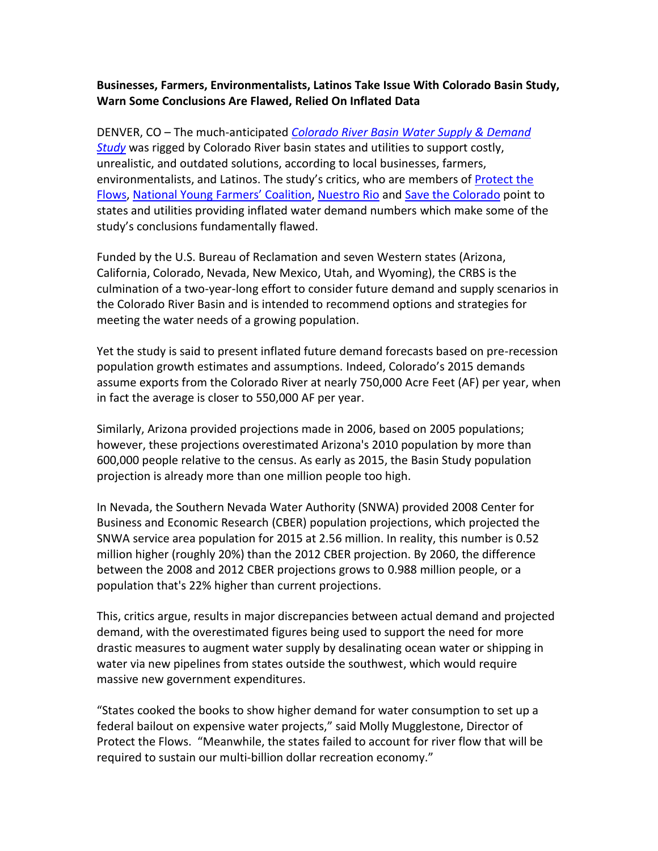## **Businesses, Farmers, Environmentalists, Latinos Take Issue With Colorado Basin Study, Warn Some Conclusions Are Flawed, Relied On Inflated Data**

DENVER, CO – The much-anticipated *Colorado River Basin [Water Supply & Demand](http://www.usbr.gov/lc/region/programs/crbstudy.html)  [Study](http://www.usbr.gov/lc/region/programs/crbstudy.html)* was rigged by Colorado River basin states and utilities to support costly, unrealistic, and outdated solutions, according to local businesses, farmers, environmentalists, and Latinos. The study's critics, who are members o[f Protect the](http://www.protectflows.com/)  [Flows,](http://www.protectflows.com/) [National Young](http://www.youngfarmers.org/) Farmers' Coalition[, Nuestro Rio](http://nuestrorio.com/splash.php) and [Save the Colorado](http://www.savethecolorado.org/) point to states and utilities providing inflated water demand numbers which make some of the study's conclusions fundamentally flawed.

Funded by the U.S. Bureau of Reclamation and seven Western states (Arizona, California, Colorado, Nevada, New Mexico, Utah, and Wyoming), the CRBS is the culmination of a two-year-long effort to consider future demand and supply scenarios in the Colorado River Basin and is intended to recommend options and strategies for meeting the water needs of a growing population.

Yet the study is said to present inflated future demand forecasts based on pre-recession population growth estimates and assumptions. Indeed, Colorado's 2015 demands assume exports from the Colorado River at nearly 750,000 Acre Feet (AF) per year, when in fact the average is closer to 550,000 AF per year.

Similarly, Arizona provided projections made in 2006, based on 2005 populations; however, these projections overestimated Arizona's 2010 population by more than 600,000 people relative to the census. As early as 2015, the Basin Study population projection is already more than one million people too high.

In Nevada, the Southern Nevada Water Authority (SNWA) provided 2008 Center for Business and Economic Research (CBER) population projections, which projected the SNWA service area population for 2015 at 2.56 million. In reality, this number is 0.52 million higher (roughly 20%) than the 2012 CBER projection. By 2060, the difference between the 2008 and 2012 CBER projections grows to 0.988 million people, or a population that's 22% higher than current projections.

This, critics argue, results in major discrepancies between actual demand and projected demand, with the overestimated figures being used to support the need for more drastic measures to augment water supply by desalinating ocean water or shipping in water via new pipelines from states outside the southwest, which would require massive new government expenditures.

"States cooked the books to show higher demand for water consumption to set up a federal bailout on expensive water projects," said Molly Mugglestone, Director of Protect the Flows. "Meanwhile, the states failed to account for river flow that will be required to sustain our multi-billion dollar recreation economy."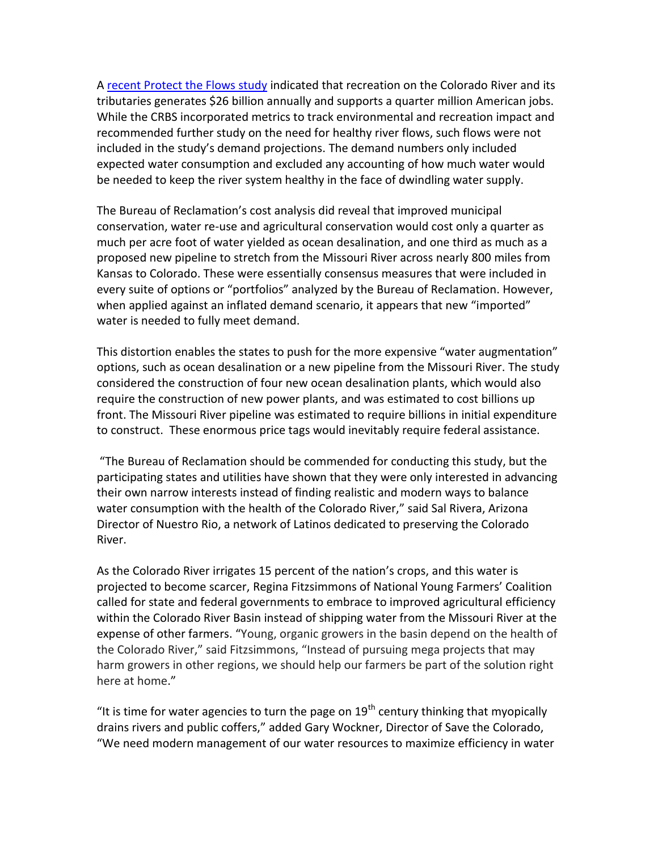A [recent Protect the Flows study](http://protectflows.com/creating-jobs/) indicated that recreation on the Colorado River and its tributaries generates \$26 billion annually and supports a quarter million American jobs. While the CRBS incorporated metrics to track environmental and recreation impact and recommended further study on the need for healthy river flows, such flows were not included in the study's demand projections. The demand numbers only included expected water consumption and excluded any accounting of how much water would be needed to keep the river system healthy in the face of dwindling water supply.

The Bureau of Reclamation's cost analysis did reveal that improved municipal conservation, water re-use and agricultural conservation would cost only a quarter as much per acre foot of water yielded as ocean desalination, and one third as much as a proposed new pipeline to stretch from the Missouri River across nearly 800 miles from Kansas to Colorado. These were essentially consensus measures that were included in every suite of options or "portfolios" analyzed by the Bureau of Reclamation. However, when applied against an inflated demand scenario, it appears that new "imported" water is needed to fully meet demand.

This distortion enables the states to push for the more expensive "water augmentation" options, such as ocean desalination or a new pipeline from the Missouri River. The study considered the construction of four new ocean desalination plants, which would also require the construction of new power plants, and was estimated to cost billions up front. The Missouri River pipeline was estimated to require billions in initial expenditure to construct. These enormous price tags would inevitably require federal assistance.

"The Bureau of Reclamation should be commended for conducting this study, but the participating states and utilities have shown that they were only interested in advancing their own narrow interests instead of finding realistic and modern ways to balance water consumption with the health of the Colorado River," said Sal Rivera, Arizona Director of Nuestro Rio, a network of Latinos dedicated to preserving the Colorado River.

As the Colorado River irrigates 15 percent of the nation's crops, and this water is projected to become scarcer, Regina Fitzsimmons of National Young Farmers' Coalition called for state and federal governments to embrace to improved agricultural efficiency within the Colorado River Basin instead of shipping water from the Missouri River at the expense of other farmers. "Young, organic growers in the basin depend on the health of the Colorado River," said Fitzsimmons, "Instead of pursuing mega projects that may harm growers in other regions, we should help our farmers be part of the solution right here at home."

"It is time for water agencies to turn the page on  $19<sup>th</sup>$  century thinking that myopically drains rivers and public coffers," added Gary Wockner, Director of Save the Colorado, "We need modern management of our water resources to maximize efficiency in water